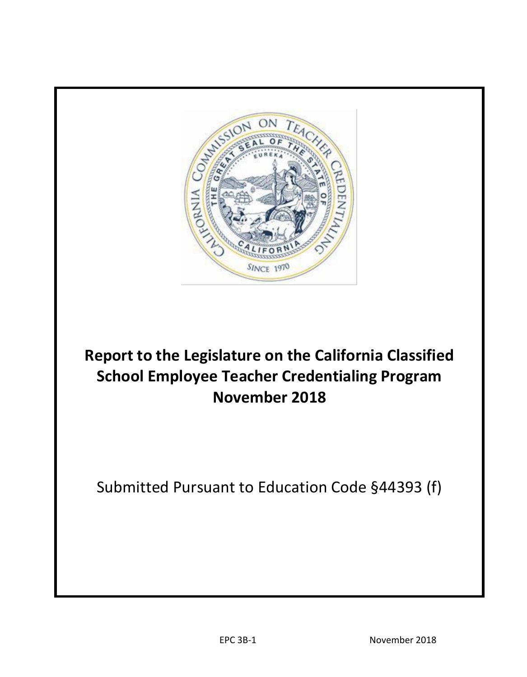

# **Report to the Legislature on the California Classified School Employee Teacher Credentialing Program November 2018**

Submitted Pursuant to Education Code §44393 (f)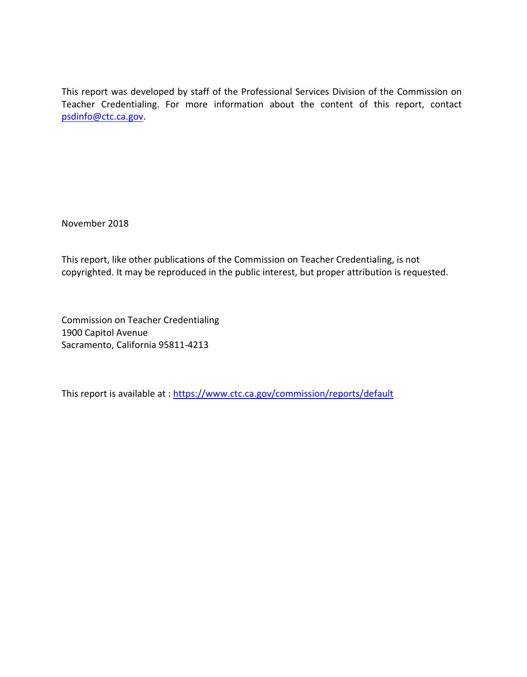Teacher Credentialing. For more information about the content of this report, contact This report was developed by staff of the Professional Services Division of the Commission on [psdinfo@ctc.ca.gov.](mailto:psdinfo@ctc.ca.gov) 

November 2018

This report, like other publications of the Commission on Teacher Credentialing, is not copyrighted. It may be reproduced in the public interest, but proper attribution is requested.

Commission on Teacher Credentialing 1900 Capitol Avenue Sacramento, California 95811-4213

This report is available at : <https://www.ctc.ca.gov/commission/reports/default>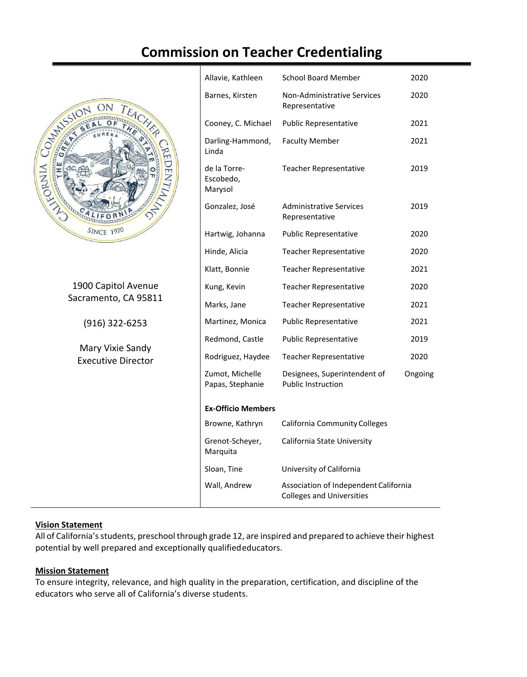## **Commission on Teacher Credentialing**



1900 Capitol Avenue Sacramento, CA 95811

(916) 322-6253

Mary Vixie Sandy Executive Director

| Allavie, Kathleen                                                                         | <b>School Board Member</b>                                | 2020    |
|-------------------------------------------------------------------------------------------|-----------------------------------------------------------|---------|
| Barnes, Kirsten                                                                           | <b>Non-Administrative Services</b><br>Representative      | 2020    |
| Cooney, C. Michael                                                                        | <b>Public Representative</b>                              | 2021    |
| Darling-Hammond,<br>Linda                                                                 | <b>Faculty Member</b>                                     | 2021    |
| de la Torre-<br>Escobedo,<br>Marysol                                                      | <b>Teacher Representative</b>                             | 2019    |
| Gonzalez, José                                                                            | <b>Administrative Services</b><br>Representative          | 2019    |
| Hartwig, Johanna                                                                          | <b>Public Representative</b>                              | 2020    |
| Hinde, Alicia                                                                             | <b>Teacher Representative</b>                             | 2020    |
| Klatt, Bonnie                                                                             | <b>Teacher Representative</b>                             | 2021    |
| Kung, Kevin                                                                               | <b>Teacher Representative</b>                             | 2020    |
| Marks, Jane                                                                               | <b>Teacher Representative</b>                             | 2021    |
| Martinez, Monica                                                                          | <b>Public Representative</b>                              | 2021    |
| Redmond, Castle                                                                           | <b>Public Representative</b>                              | 2019    |
| Rodriguez, Haydee                                                                         | <b>Teacher Representative</b>                             | 2020    |
| Zumot, Michelle<br>Papas, Stephanie                                                       | Designees, Superintendent of<br><b>Public Instruction</b> | Ongoing |
| <b>Ex-Officio Members</b>                                                                 |                                                           |         |
| Browne, Kathryn                                                                           | <b>California Community Colleges</b>                      |         |
| Grenot-Scheyer,<br>Marquita                                                               | California State University                               |         |
| Sloan, Tine                                                                               | University of California                                  |         |
| Wall, Andrew<br>Association of Independent California<br><b>Colleges and Universities</b> |                                                           |         |

#### **Vision Statement**

All of California's students, preschool through grade 12, are inspired and prepared to achieve their highest potential by well prepared and exceptionally qualifiededucators.

#### **Mission Statement**

To ensure integrity, relevance, and high quality in the preparation, certification, and discipline of the educators who serve all of California's diverse students.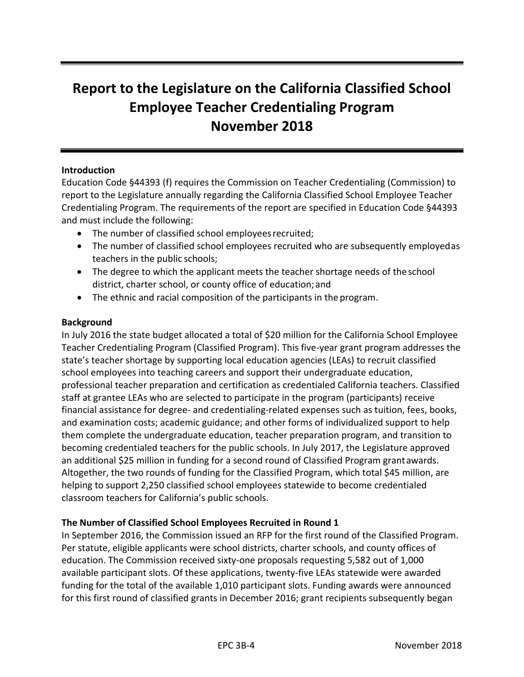## **Report to the Legislature on the California Classified School Employee Teacher Credentialing Program November 2018**

#### **Introduction**

Education Code §44393 (f) requires the Commission on Teacher Credentialing (Commission) to report to the Legislature annually regarding the California Classified School Employee Teacher Credentialing Program. The requirements of the report are specified in Education Code §44393 and must include the following:

- The number of classified school employees recruited;
- The number of classified school employees recruited who are subsequently employedas teachers in the public schools;
- The degree to which the applicant meets the teacher shortage needs of the school district, charter school, or county office of education; and
- The ethnic and racial composition of the participants in the program.

#### **Background**

In July 2016 the state budget allocated a total of \$20 million for the California School Employee Teacher Credentialing Program (Classified Program). This five-year grant program addresses the state's teacher shortage by supporting local education agencies (LEAs) to recruit classified school employees into teaching careers and support their undergraduate education, professional teacher preparation and certification as credentialed California teachers. Classified staff at grantee LEAs who are selected to participate in the program (participants) receive financial assistance for degree- and credentialing-related expenses such as tuition, fees, books, and examination costs; academic guidance; and other forms of individualized support to help them complete the undergraduate education, teacher preparation program, and transition to becoming credentialed teachers for the public schools. In July 2017, the Legislature approved an additional \$25 million in funding for a second round of Classified Program grantawards. Altogether, the two rounds of funding for the Classified Program, which total \$45 million, are helping to support 2,250 classified school employees statewide to become credentialed classroom teachers for California's public schools.

#### **The Number of Classified School Employees Recruited in Round 1**

In September 2016, the Commission issued an RFP for the first round of the Classified Program. Per statute, eligible applicants were school districts, charter schools, and county offices of education. The Commission received sixty-one proposals requesting 5,582 out of 1,000 available participant slots. Of these applications, twenty-five LEAs statewide were awarded funding for the total of the available 1,010 participant slots. Funding awards were announced for this first round of classified grants in December 2016; grant recipients subsequently began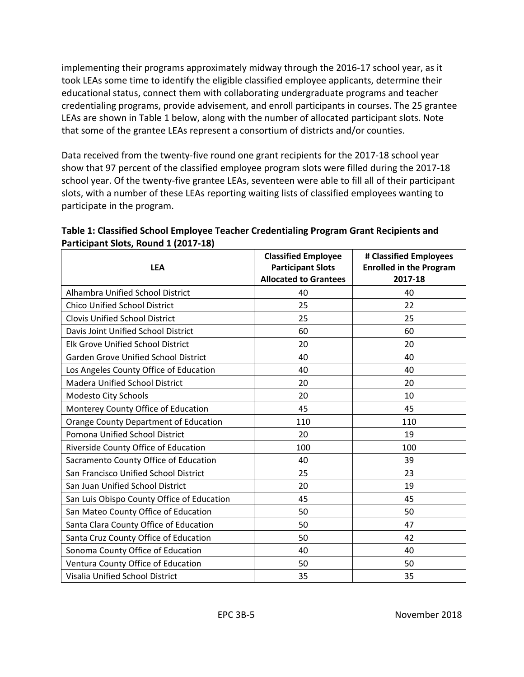implementing their programs approximately midway through the 2016-17 school year, as it took LEAs some time to identify the eligible classified employee applicants, determine their educational status, connect them with collaborating undergraduate programs and teacher credentialing programs, provide advisement, and enroll participants in courses. The 25 grantee LEAs are shown in Table 1 below, along with the number of allocated participant slots. Note that some of the grantee LEAs represent a consortium of districts and/or counties.

Data received from the twenty-five round one grant recipients for the 2017-18 school year show that 97 percent of the classified employee program slots were filled during the 2017-18 school year. Of the twenty-five grantee LEAs, seventeen were able to fill all of their participant slots, with a number of these LEAs reporting waiting lists of classified employees wanting to participate in the program.

| <b>LEA</b>                                   | <b>Classified Employee</b><br><b>Participant Slots</b><br><b>Allocated to Grantees</b> | # Classified Employees<br><b>Enrolled in the Program</b><br>2017-18 |
|----------------------------------------------|----------------------------------------------------------------------------------------|---------------------------------------------------------------------|
| Alhambra Unified School District             | 40                                                                                     | 40                                                                  |
| <b>Chico Unified School District</b>         | 25                                                                                     | 22                                                                  |
| <b>Clovis Unified School District</b>        | 25                                                                                     | 25                                                                  |
| Davis Joint Unified School District          | 60                                                                                     | 60                                                                  |
| <b>Elk Grove Unified School District</b>     | 20                                                                                     | 20                                                                  |
| Garden Grove Unified School District         | 40                                                                                     | 40                                                                  |
| Los Angeles County Office of Education       | 40                                                                                     | 40                                                                  |
| <b>Madera Unified School District</b>        | 20                                                                                     | 20                                                                  |
| Modesto City Schools                         | 20                                                                                     | 10                                                                  |
| Monterey County Office of Education          | 45                                                                                     | 45                                                                  |
| <b>Orange County Department of Education</b> | 110                                                                                    | 110                                                                 |
| Pomona Unified School District               | 20                                                                                     | 19                                                                  |
| Riverside County Office of Education         | 100                                                                                    | 100                                                                 |
| Sacramento County Office of Education        | 40                                                                                     | 39                                                                  |
| San Francisco Unified School District        | 25                                                                                     | 23                                                                  |
| San Juan Unified School District             | 20                                                                                     | 19                                                                  |
| San Luis Obispo County Office of Education   | 45                                                                                     | 45                                                                  |
| San Mateo County Office of Education         | 50                                                                                     | 50                                                                  |
| Santa Clara County Office of Education       | 50                                                                                     | 47                                                                  |
| Santa Cruz County Office of Education        | 50                                                                                     | 42                                                                  |
| Sonoma County Office of Education            | 40                                                                                     | 40                                                                  |
| Ventura County Office of Education           | 50                                                                                     | 50                                                                  |
| <b>Visalia Unified School District</b>       | 35                                                                                     | 35                                                                  |

### **Table 1: Classified School Employee Teacher Credentialing Program Grant Recipients and Participant Slots, Round 1 (2017-18)**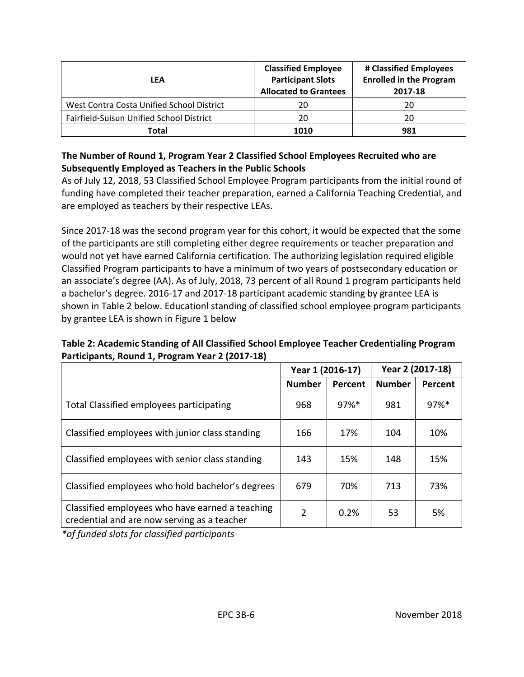| LEA                                       | <b>Classified Employee</b><br><b>Participant Slots</b><br><b>Allocated to Grantees</b> | # Classified Employees<br><b>Enrolled in the Program</b><br>2017-18 |
|-------------------------------------------|----------------------------------------------------------------------------------------|---------------------------------------------------------------------|
| West Contra Costa Unified School District | 20                                                                                     | 20                                                                  |
| Fairfield-Suisun Unified School District  | 20                                                                                     | 20                                                                  |
| Total                                     | 1010                                                                                   | 981                                                                 |

#### **The Number of Round 1, Program Year 2 Classified School Employees Recruited who are Subsequently Employed as Teachers in the Public Schools**

 funding have completed their teacher preparation, earned a California Teaching Credential, and As of July 12, 2018, 53 Classified School Employee Program participants from the initial round of are employed as teachers by their respective LEAs.

Since 2017-18 was the second program year for this cohort, it would be expected that the some of the participants are still completing either degree requirements or teacher preparation and would not yet have earned California certification. The authorizing legislation required eligible Classified Program participants to have a minimum of two years of postsecondary education or an associate's degree (AA). As of July, 2018, 73 percent of all Round 1 program participants held a bachelor's degree. 2016-17 and 2017-18 participant academic standing by grantee LEA is shown in Table 2 below. Educationl standing of classified school employee program participants by grantee LEA is shown in Figure 1 below

#### **Table 2: Academic Standing of All Classified School Employee Teacher Credentialing Program Participants, Round 1, Program Year 2 (2017-18)**

|                                                                                                | Year 1 (2016-17) |                     | Year 2 (2017-18) |         |
|------------------------------------------------------------------------------------------------|------------------|---------------------|------------------|---------|
|                                                                                                | <b>Number</b>    | Percent             | <b>Number</b>    | Percent |
| Total Classified employees participating                                                       | 968              | $97\%$ <sup>*</sup> | 981              | 97%*    |
| Classified employees with junior class standing                                                | 166              | 17%                 | 104              | 10%     |
| Classified employees with senior class standing                                                | 143              | 15%                 | 148              | 15%     |
| Classified employees who hold bachelor's degrees                                               | 679              | 70%                 | 713              | 73%     |
| Classified employees who have earned a teaching<br>credential and are now serving as a teacher | 2                | 0.2%                | 53               | 5%      |

*\*of funded slots for classified participants*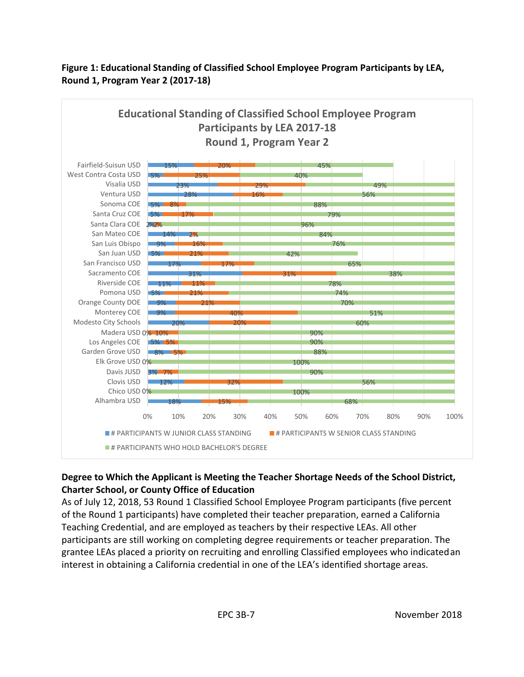## **Figure 1: Educational Standing of Classified School Employee Program Participants by LEA, Round 1, Program Year 2 (2017-18)**



## **Degree to Which the Applicant is Meeting the Teacher Shortage Needs of the School District, Charter School, or County Office of Education**

 interest in obtaining a California credential in one of the LEA's identified shortage areas. As of July 12, 2018, 53 Round 1 Classified School Employee Program participants (five percent of the Round 1 participants) have completed their teacher preparation, earned a California Teaching Credential, and are employed as teachers by their respective LEAs. All other participants are still working on completing degree requirements or teacher preparation. The grantee LEAs placed a priority on recruiting and enrolling Classified employees who indicatedan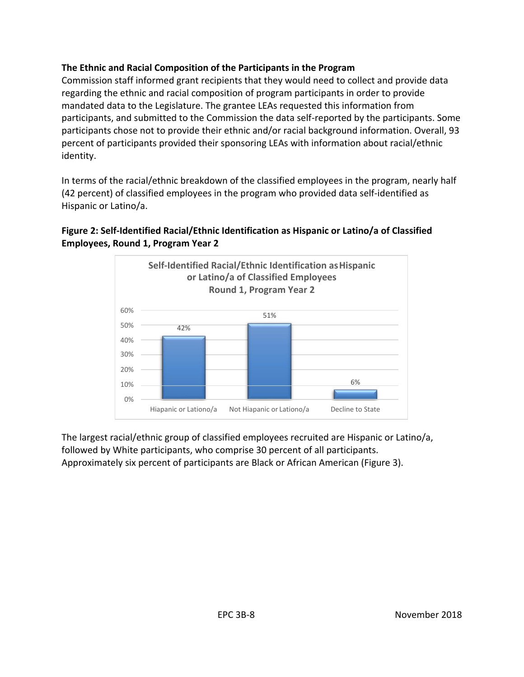#### **The Ethnic and Racial Composition of the Participants in the Program**

Commission staff informed grant recipients that they would need to collect and provide data regarding the ethnic and racial composition of program participants in order to provide mandated data to the Legislature. The grantee LEAs requested this information from participants, and submitted to the Commission the data self-reported by the participants. Some participants chose not to provide their ethnic and/or racial background information. Overall, 93 percent of participants provided their sponsoring LEAs with information about racial/ethnic identity.

In terms of the racial/ethnic breakdown of the classified employees in the program, nearly half (42 percent) of classified employees in the program who provided data self-identified as Hispanic or Latino/a.

## **Figure 2: Self-Identified Racial/Ethnic Identification as Hispanic or Latino/a of Classified Employees, Round 1, Program Year 2**



The largest racial/ethnic group of classified employees recruited are Hispanic or Latino/a, followed by White participants, who comprise 30 percent of all participants. Approximately six percent of participants are Black or African American (Figure 3).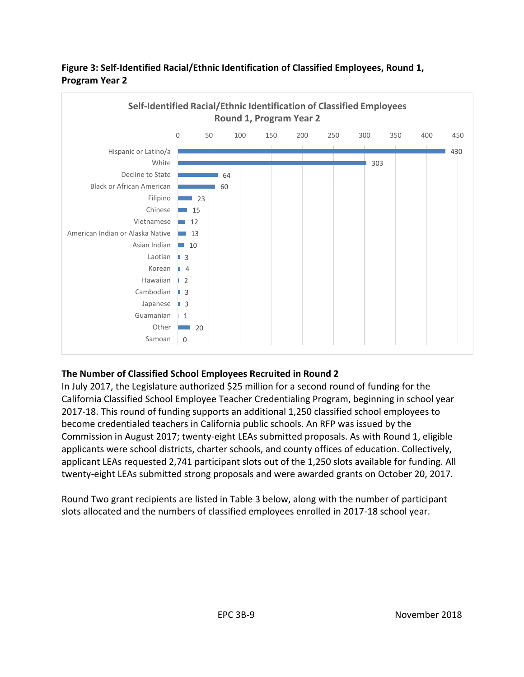

## **Figure 3: Self-Identified Racial/Ethnic Identification of Classified Employees, Round 1, Program Year 2**

### **The Number of Classified School Employees Recruited in Round 2**

In July 2017, the Legislature authorized \$25 million for a second round of funding for the California Classified School Employee Teacher Credentialing Program, beginning in school year 2017-18. This round of funding supports an additional 1,250 classified school employees to become credentialed teachers in California public schools. An RFP was issued by the Commission in August 2017; twenty-eight LEAs submitted proposals. As with Round 1, eligible applicants were school districts, charter schools, and county offices of education. Collectively, applicant LEAs requested 2,741 participant slots out of the 1,250 slots available for funding. All twenty-eight LEAs submitted strong proposals and were awarded grants on October 20, 2017.

Round Two grant recipients are listed in Table 3 below, along with the number of participant slots allocated and the numbers of classified employees enrolled in 2017-18 school year.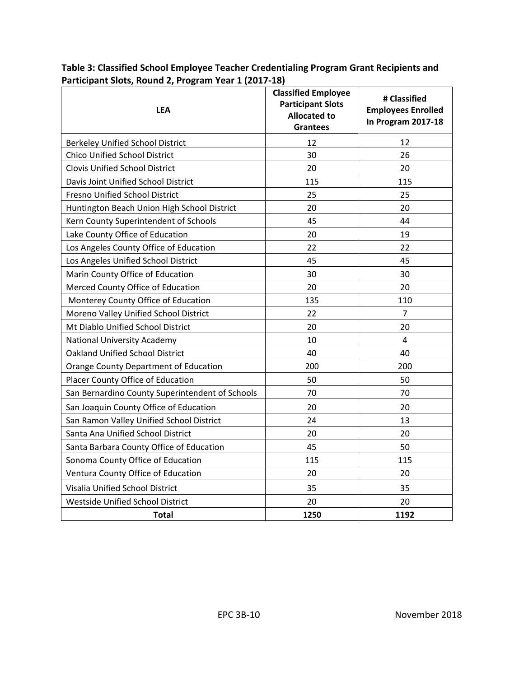**Table 3: Classified School Employee Teacher Credentialing Program Grant Recipients and Participant Slots, Round 2, Program Year 1 (2017-18)** 

| <b>LEA</b>                                      | <b>Classified Employee</b><br><b>Participant Slots</b><br><b>Allocated to</b><br><b>Grantees</b> | # Classified<br><b>Employees Enrolled</b><br>In Program 2017-18 |  |
|-------------------------------------------------|--------------------------------------------------------------------------------------------------|-----------------------------------------------------------------|--|
| <b>Berkeley Unified School District</b>         | 12                                                                                               | 12                                                              |  |
| <b>Chico Unified School District</b>            | 30                                                                                               | 26                                                              |  |
| <b>Clovis Unified School District</b>           | 20                                                                                               | 20                                                              |  |
| Davis Joint Unified School District             | 115                                                                                              | 115                                                             |  |
| Fresno Unified School District                  | 25                                                                                               | 25                                                              |  |
| Huntington Beach Union High School District     | 20                                                                                               | 20                                                              |  |
| Kern County Superintendent of Schools           | 45                                                                                               | 44                                                              |  |
| Lake County Office of Education                 | 20                                                                                               | 19                                                              |  |
| Los Angeles County Office of Education          | 22                                                                                               | 22                                                              |  |
| Los Angeles Unified School District             | 45                                                                                               | 45                                                              |  |
| Marin County Office of Education                | 30                                                                                               | 30                                                              |  |
| Merced County Office of Education               | 20                                                                                               | 20                                                              |  |
| Monterey County Office of Education             | 135                                                                                              | 110                                                             |  |
| Moreno Valley Unified School District           | 22                                                                                               | $\overline{7}$                                                  |  |
| Mt Diablo Unified School District               | 20                                                                                               | 20                                                              |  |
| <b>National University Academy</b>              | 10                                                                                               | 4                                                               |  |
| <b>Oakland Unified School District</b>          | 40                                                                                               | 40                                                              |  |
| Orange County Department of Education           | 200                                                                                              | 200                                                             |  |
| Placer County Office of Education               | 50                                                                                               | 50                                                              |  |
| San Bernardino County Superintendent of Schools | 70                                                                                               | 70                                                              |  |
| San Joaquin County Office of Education          | 20                                                                                               | 20                                                              |  |
| San Ramon Valley Unified School District        | 24                                                                                               | 13                                                              |  |
| Santa Ana Unified School District               | 20                                                                                               | 20                                                              |  |
| Santa Barbara County Office of Education        | 45                                                                                               | 50                                                              |  |
| Sonoma County Office of Education               | 115                                                                                              | 115                                                             |  |
| Ventura County Office of Education              | 20                                                                                               | 20                                                              |  |
| Visalia Unified School District                 | 35                                                                                               | 35                                                              |  |
| Westside Unified School District                | 20                                                                                               | 20                                                              |  |
| <b>Total</b>                                    | 1250                                                                                             | 1192                                                            |  |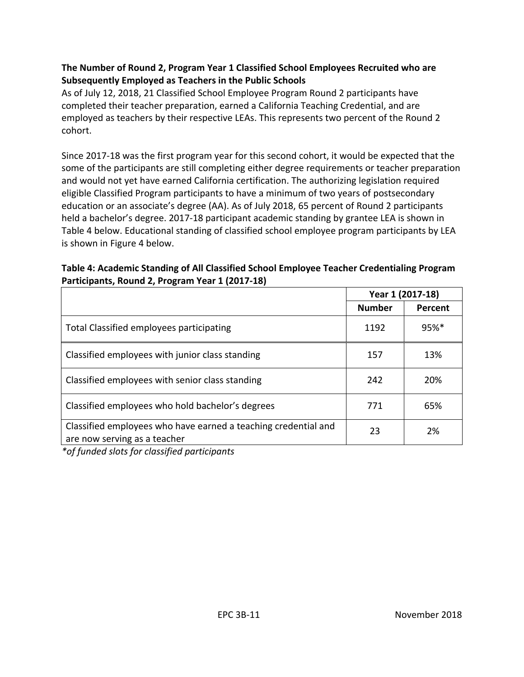#### **The Number of Round 2, Program Year 1 Classified School Employees Recruited who are Subsequently Employed as Teachers in the Public Schools**

As of July 12, 2018, 21 Classified School Employee Program Round 2 participants have completed their teacher preparation, earned a California Teaching Credential, and are employed as teachers by their respective LEAs. This represents two percent of the Round 2 cohort.

Since 2017-18 was the first program year for this second cohort, it would be expected that the some of the participants are still completing either degree requirements or teacher preparation and would not yet have earned California certification. The authorizing legislation required eligible Classified Program participants to have a minimum of two years of postsecondary education or an associate's degree (AA). As of July 2018, 65 percent of Round 2 participants held a bachelor's degree. 2017-18 participant academic standing by grantee LEA is shown in Table 4 below. Educational standing of classified school employee program participants by LEA is shown in Figure 4 below.

#### **Table 4: Academic Standing of All Classified School Employee Teacher Credentialing Program Participants, Round 2, Program Year 1 (2017-18)**

|                                                                                                | Year 1 (2017-18) |         |
|------------------------------------------------------------------------------------------------|------------------|---------|
|                                                                                                | <b>Number</b>    | Percent |
| Total Classified employees participating                                                       | 1192             | $95%$ * |
| Classified employees with junior class standing                                                | 157              | 13%     |
| Classified employees with senior class standing                                                | 242              | 20%     |
| Classified employees who hold bachelor's degrees                                               | 771              | 65%     |
| Classified employees who have earned a teaching credential and<br>are now serving as a teacher | 23               | 2%      |

*\*of funded slots for classified participants*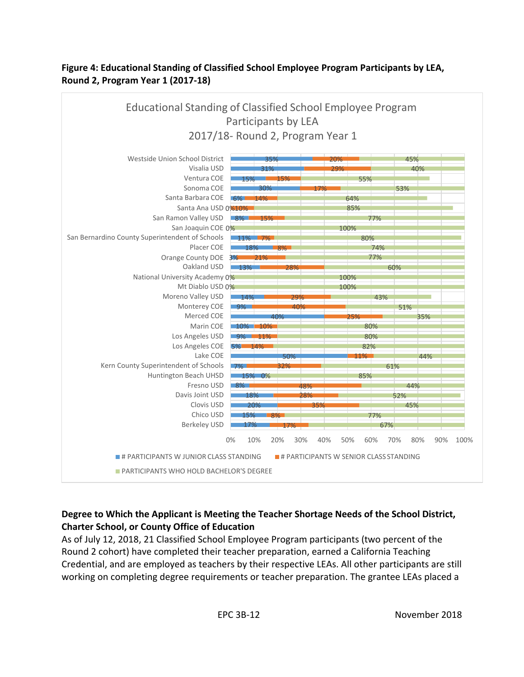## **Figure 4: Educational Standing of Classified School Employee Program Participants by LEA, Round 2, Program Year 1 (2017-18)**



## **Degree to Which the Applicant is Meeting the Teacher Shortage Needs of the School District, Charter School, or County Office of Education**

As of July 12, 2018, 21 Classified School Employee Program participants (two percent of the Round 2 cohort) have completed their teacher preparation, earned a California Teaching Credential, and are employed as teachers by their respective LEAs. All other participants are still working on completing degree requirements or teacher preparation. The grantee LEAs placed a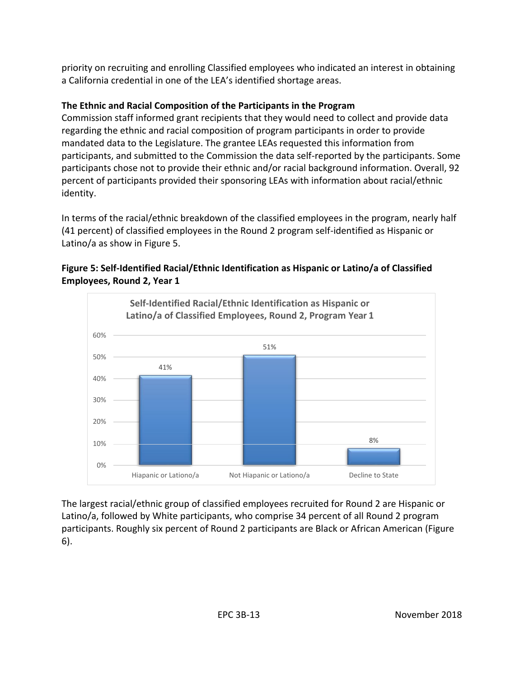priority on recruiting and enrolling Classified employees who indicated an interest in obtaining a California credential in one of the LEA's identified shortage areas.

## **The Ethnic and Racial Composition of the Participants in the Program**

Commission staff informed grant recipients that they would need to collect and provide data regarding the ethnic and racial composition of program participants in order to provide mandated data to the Legislature. The grantee LEAs requested this information from participants, and submitted to the Commission the data self-reported by the participants. Some participants chose not to provide their ethnic and/or racial background information. Overall, 92 percent of participants provided their sponsoring LEAs with information about racial/ethnic identity.

In terms of the racial/ethnic breakdown of the classified employees in the program, nearly half (41 percent) of classified employees in the Round 2 program self-identified as Hispanic or Latino/a as show in Figure 5.





The largest racial/ethnic group of classified employees recruited for Round 2 are Hispanic or Latino/a, followed by White participants, who comprise 34 percent of all Round 2 program participants. Roughly six percent of Round 2 participants are Black or African American (Figure 6).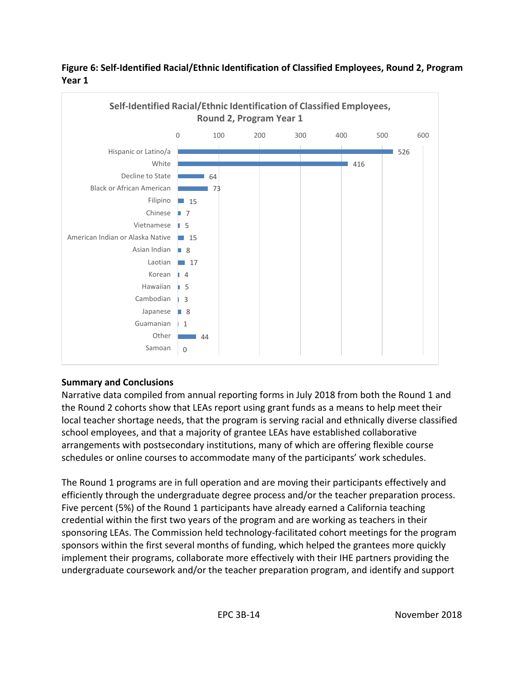



#### **Summary and Conclusions**

Narrative data compiled from annual reporting forms in July 2018 from both the Round 1 and the Round 2 cohorts show that LEAs report using grant funds as a means to help meet their local teacher shortage needs, that the program is serving racial and ethnically diverse classified school employees, and that a majority of grantee LEAs have established collaborative arrangements with postsecondary institutions, many of which are offering flexible course schedules or online courses to accommodate many of the participants' work schedules.

The Round 1 programs are in full operation and are moving their participants effectively and efficiently through the undergraduate degree process and/or the teacher preparation process. Five percent (5%) of the Round 1 participants have already earned a California teaching credential within the first two years of the program and are working as teachers in their sponsoring LEAs. The Commission held technology-facilitated cohort meetings for the program sponsors within the first several months of funding, which helped the grantees more quickly implement their programs, collaborate more effectively with their IHE partners providing the undergraduate coursework and/or the teacher preparation program, and identify and support